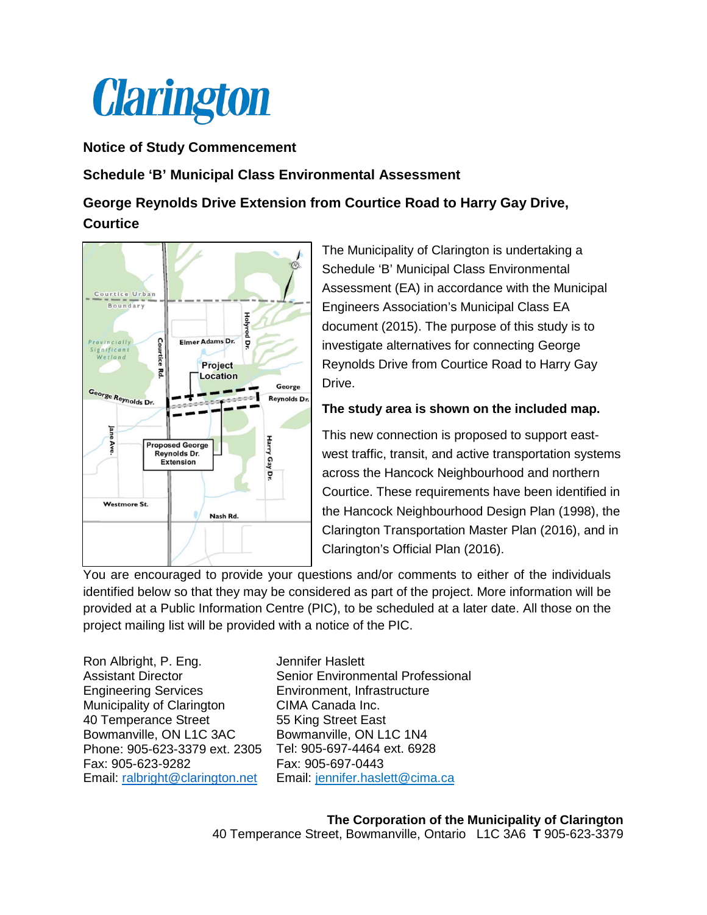

## **Notice of Study Commencement**

## **Schedule 'B' Municipal Class Environmental Assessment**

## **George Reynolds Drive Extension from Courtice Road to Harry Gay Drive, Courtice**



The Municipality of Clarington is undertaking a Schedule 'B' Municipal Class Environmental Assessment (EA) in accordance with the Municipal Engineers Association's Municipal Class EA document (2015). The purpose of this study is to investigate alternatives for connecting George Reynolds Drive from Courtice Road to Harry Gay Drive.

## **The study area is shown on the included map.**

This new connection is proposed to support eastwest traffic, transit, and active transportation systems across the Hancock Neighbourhood and northern Courtice. These requirements have been identified in the Hancock Neighbourhood Design Plan (1998), the Clarington Transportation Master Plan (2016), and in Clarington's Official Plan (2016).

You are encouraged to provide your questions and/or comments to either of the individuals identified below so that they may be considered as part of the project. More information will be provided at a Public Information Centre (PIC), to be scheduled at a later date. All those on the project mailing list will be provided with a notice of the PIC.

Ron Albright, P. Eng. Assistant Director Engineering Services Municipality of Clarington 40 Temperance Street Bowmanville, ON L1C 3AC Phone: 905-623-3379 ext. 2305 Fax: 905-623-9282 Email: [ralbright@clarington.net](mailto:ralbright@clarington.net)

Jennifer Haslett Senior Environmental Professional Environment, Infrastructure CIMA Canada Inc. 55 King Street East Bowmanville, ON L1C 1N4 Tel: 905-697-4464 ext. 6928 Fax: 905-697-0443 Email: [jennifer.haslett@cima.ca](mailto:jennifer.haslett@cima.ca)

**The Corporation of the Municipality of Clarington**  40 Temperance Street, Bowmanville, Ontario L1C 3A6 **T** 905-623-3379